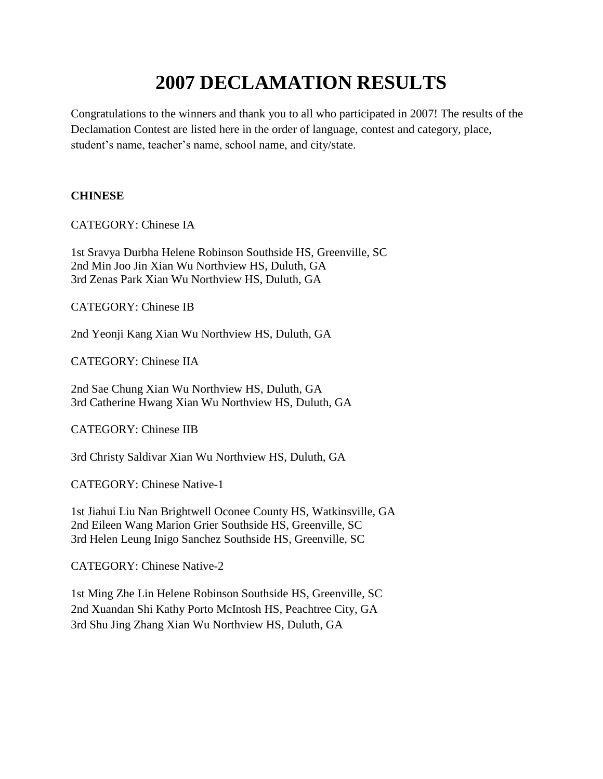# **2007 DECLAMATION RESULTS**

Congratulations to the winners and thank you to all who participated in 2007! The results of the Declamation Contest are listed here in the order of language, contest and category, place, student's name, teacher's name, school name, and city/state.

## **CHINESE**

CATEGORY: Chinese IA

1st Sravya Durbha Helene Robinson Southside HS, Greenville, SC 2nd Min Joo Jin Xian Wu Northview HS, Duluth, GA 3rd Zenas Park Xian Wu Northview HS, Duluth, GA

CATEGORY: Chinese IB

2nd Yeonji Kang Xian Wu Northview HS, Duluth, GA

CATEGORY: Chinese IIA

2nd Sae Chung Xian Wu Northview HS, Duluth, GA 3rd Catherine Hwang Xian Wu Northview HS, Duluth, GA

CATEGORY: Chinese IIB

3rd Christy Saldivar Xian Wu Northview HS, Duluth, GA

CATEGORY: Chinese Native-1

1st Jiahui Liu Nan Brightwell Oconee County HS, Watkinsville, GA 2nd Eileen Wang Marion Grier Southside HS, Greenville, SC 3rd Helen Leung Inigo Sanchez Southside HS, Greenville, SC

CATEGORY: Chinese Native-2

1st Ming Zhe Lin Helene Robinson Southside HS, Greenville, SC 2nd Xuandan Shi Kathy Porto McIntosh HS, Peachtree City, GA 3rd Shu Jing Zhang Xian Wu Northview HS, Duluth, GA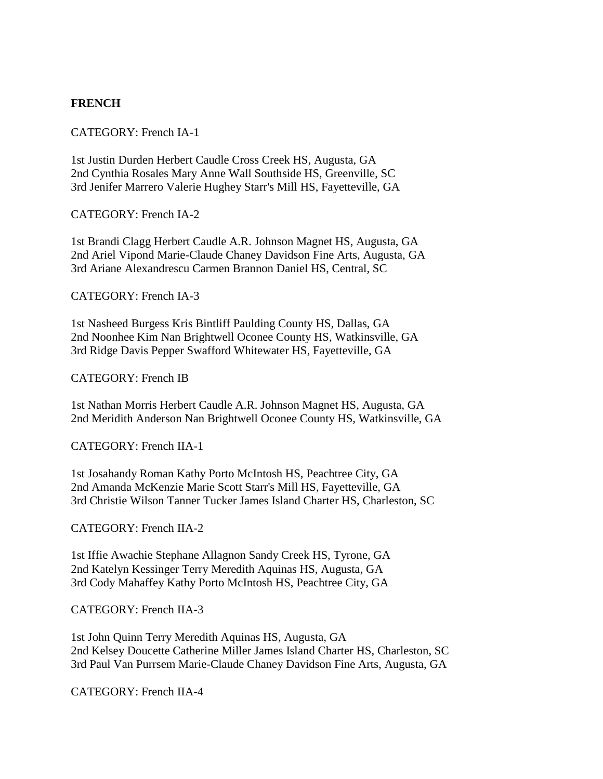## **FRENCH**

#### CATEGORY: French IA-1

1st Justin Durden Herbert Caudle Cross Creek HS, Augusta, GA 2nd Cynthia Rosales Mary Anne Wall Southside HS, Greenville, SC 3rd Jenifer Marrero Valerie Hughey Starr's Mill HS, Fayetteville, GA

CATEGORY: French IA-2

1st Brandi Clagg Herbert Caudle A.R. Johnson Magnet HS, Augusta, GA 2nd Ariel Vipond Marie-Claude Chaney Davidson Fine Arts, Augusta, GA 3rd Ariane Alexandrescu Carmen Brannon Daniel HS, Central, SC

CATEGORY: French IA-3

1st Nasheed Burgess Kris Bintliff Paulding County HS, Dallas, GA 2nd Noonhee Kim Nan Brightwell Oconee County HS, Watkinsville, GA 3rd Ridge Davis Pepper Swafford Whitewater HS, Fayetteville, GA

CATEGORY: French IB

1st Nathan Morris Herbert Caudle A.R. Johnson Magnet HS, Augusta, GA 2nd Meridith Anderson Nan Brightwell Oconee County HS, Watkinsville, GA

CATEGORY: French IIA-1

1st Josahandy Roman Kathy Porto McIntosh HS, Peachtree City, GA 2nd Amanda McKenzie Marie Scott Starr's Mill HS, Fayetteville, GA 3rd Christie Wilson Tanner Tucker James Island Charter HS, Charleston, SC

CATEGORY: French IIA-2

1st Iffie Awachie Stephane Allagnon Sandy Creek HS, Tyrone, GA 2nd Katelyn Kessinger Terry Meredith Aquinas HS, Augusta, GA 3rd Cody Mahaffey Kathy Porto McIntosh HS, Peachtree City, GA

CATEGORY: French IIA-3

1st John Quinn Terry Meredith Aquinas HS, Augusta, GA 2nd Kelsey Doucette Catherine Miller James Island Charter HS, Charleston, SC 3rd Paul Van Purrsem Marie-Claude Chaney Davidson Fine Arts, Augusta, GA

CATEGORY: French IIA-4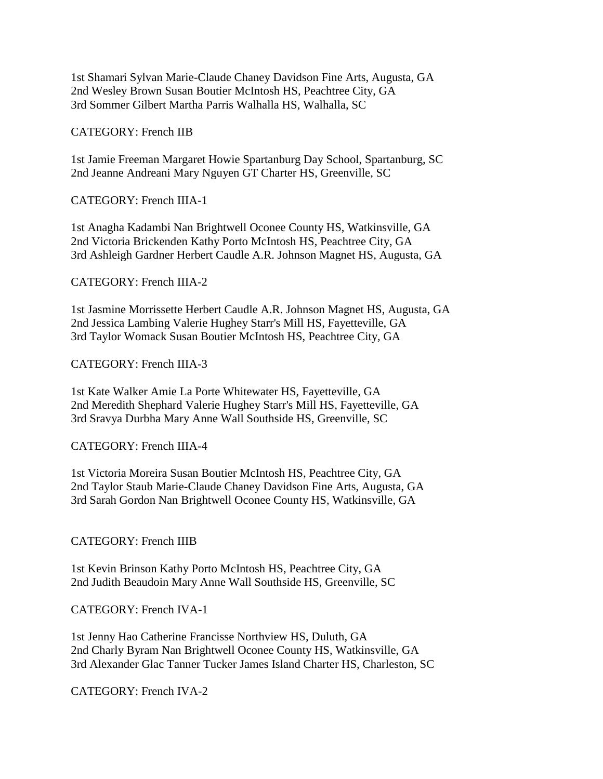1st Shamari Sylvan Marie-Claude Chaney Davidson Fine Arts, Augusta, GA 2nd Wesley Brown Susan Boutier McIntosh HS, Peachtree City, GA 3rd Sommer Gilbert Martha Parris Walhalla HS, Walhalla, SC

CATEGORY: French IIB

1st Jamie Freeman Margaret Howie Spartanburg Day School, Spartanburg, SC 2nd Jeanne Andreani Mary Nguyen GT Charter HS, Greenville, SC

CATEGORY: French IIIA-1

1st Anagha Kadambi Nan Brightwell Oconee County HS, Watkinsville, GA 2nd Victoria Brickenden Kathy Porto McIntosh HS, Peachtree City, GA 3rd Ashleigh Gardner Herbert Caudle A.R. Johnson Magnet HS, Augusta, GA

CATEGORY: French IIIA-2

1st Jasmine Morrissette Herbert Caudle A.R. Johnson Magnet HS, Augusta, GA 2nd Jessica Lambing Valerie Hughey Starr's Mill HS, Fayetteville, GA 3rd Taylor Womack Susan Boutier McIntosh HS, Peachtree City, GA

CATEGORY: French IIIA-3

1st Kate Walker Amie La Porte Whitewater HS, Fayetteville, GA 2nd Meredith Shephard Valerie Hughey Starr's Mill HS, Fayetteville, GA 3rd Sravya Durbha Mary Anne Wall Southside HS, Greenville, SC

CATEGORY: French IIIA-4

1st Victoria Moreira Susan Boutier McIntosh HS, Peachtree City, GA 2nd Taylor Staub Marie-Claude Chaney Davidson Fine Arts, Augusta, GA 3rd Sarah Gordon Nan Brightwell Oconee County HS, Watkinsville, GA

CATEGORY: French IIIB

1st Kevin Brinson Kathy Porto McIntosh HS, Peachtree City, GA 2nd Judith Beaudoin Mary Anne Wall Southside HS, Greenville, SC

CATEGORY: French IVA-1

1st Jenny Hao Catherine Francisse Northview HS, Duluth, GA 2nd Charly Byram Nan Brightwell Oconee County HS, Watkinsville, GA 3rd Alexander Glac Tanner Tucker James Island Charter HS, Charleston, SC

CATEGORY: French IVA-2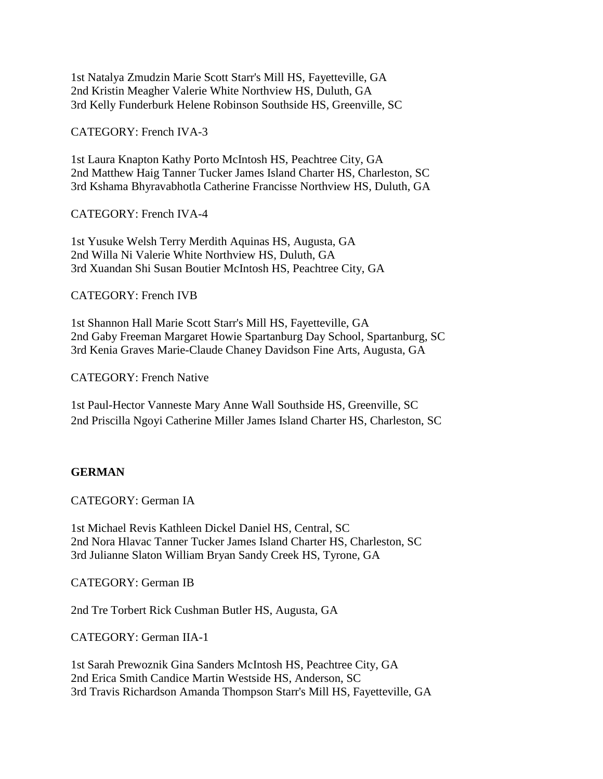1st Natalya Zmudzin Marie Scott Starr's Mill HS, Fayetteville, GA 2nd Kristin Meagher Valerie White Northview HS, Duluth, GA 3rd Kelly Funderburk Helene Robinson Southside HS, Greenville, SC

CATEGORY: French IVA-3

1st Laura Knapton Kathy Porto McIntosh HS, Peachtree City, GA 2nd Matthew Haig Tanner Tucker James Island Charter HS, Charleston, SC 3rd Kshama Bhyravabhotla Catherine Francisse Northview HS, Duluth, GA

CATEGORY: French IVA-4

1st Yusuke Welsh Terry Merdith Aquinas HS, Augusta, GA 2nd Willa Ni Valerie White Northview HS, Duluth, GA 3rd Xuandan Shi Susan Boutier McIntosh HS, Peachtree City, GA

CATEGORY: French IVB

1st Shannon Hall Marie Scott Starr's Mill HS, Fayetteville, GA 2nd Gaby Freeman Margaret Howie Spartanburg Day School, Spartanburg, SC 3rd Kenia Graves Marie-Claude Chaney Davidson Fine Arts, Augusta, GA

CATEGORY: French Native

1st Paul-Hector Vanneste Mary Anne Wall Southside HS, Greenville, SC 2nd Priscilla Ngoyi Catherine Miller James Island Charter HS, Charleston, SC

#### **GERMAN**

CATEGORY: German IA

1st Michael Revis Kathleen Dickel Daniel HS, Central, SC 2nd Nora Hlavac Tanner Tucker James Island Charter HS, Charleston, SC 3rd Julianne Slaton William Bryan Sandy Creek HS, Tyrone, GA

CATEGORY: German IB

2nd Tre Torbert Rick Cushman Butler HS, Augusta, GA

CATEGORY: German IIA-1

1st Sarah Prewoznik Gina Sanders McIntosh HS, Peachtree City, GA 2nd Erica Smith Candice Martin Westside HS, Anderson, SC 3rd Travis Richardson Amanda Thompson Starr's Mill HS, Fayetteville, GA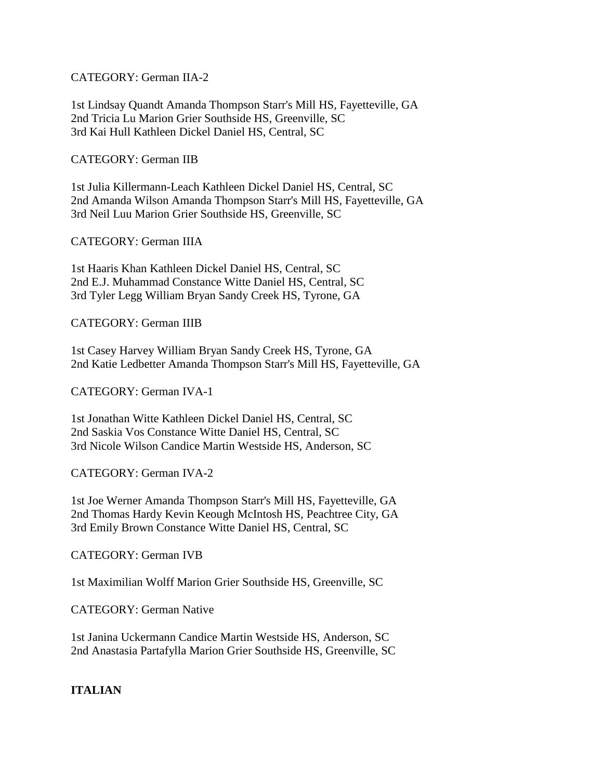CATEGORY: German IIA-2

1st Lindsay Quandt Amanda Thompson Starr's Mill HS, Fayetteville, GA 2nd Tricia Lu Marion Grier Southside HS, Greenville, SC 3rd Kai Hull Kathleen Dickel Daniel HS, Central, SC

CATEGORY: German IIB

1st Julia Killermann-Leach Kathleen Dickel Daniel HS, Central, SC 2nd Amanda Wilson Amanda Thompson Starr's Mill HS, Fayetteville, GA 3rd Neil Luu Marion Grier Southside HS, Greenville, SC

CATEGORY: German IIIA

1st Haaris Khan Kathleen Dickel Daniel HS, Central, SC 2nd E.J. Muhammad Constance Witte Daniel HS, Central, SC 3rd Tyler Legg William Bryan Sandy Creek HS, Tyrone, GA

CATEGORY: German IIIB

1st Casey Harvey William Bryan Sandy Creek HS, Tyrone, GA 2nd Katie Ledbetter Amanda Thompson Starr's Mill HS, Fayetteville, GA

CATEGORY: German IVA-1

1st Jonathan Witte Kathleen Dickel Daniel HS, Central, SC 2nd Saskia Vos Constance Witte Daniel HS, Central, SC 3rd Nicole Wilson Candice Martin Westside HS, Anderson, SC

CATEGORY: German IVA-2

1st Joe Werner Amanda Thompson Starr's Mill HS, Fayetteville, GA 2nd Thomas Hardy Kevin Keough McIntosh HS, Peachtree City, GA 3rd Emily Brown Constance Witte Daniel HS, Central, SC

CATEGORY: German IVB

1st Maximilian Wolff Marion Grier Southside HS, Greenville, SC

CATEGORY: German Native

1st Janina Uckermann Candice Martin Westside HS, Anderson, SC 2nd Anastasia Partafylla Marion Grier Southside HS, Greenville, SC

**ITALIAN**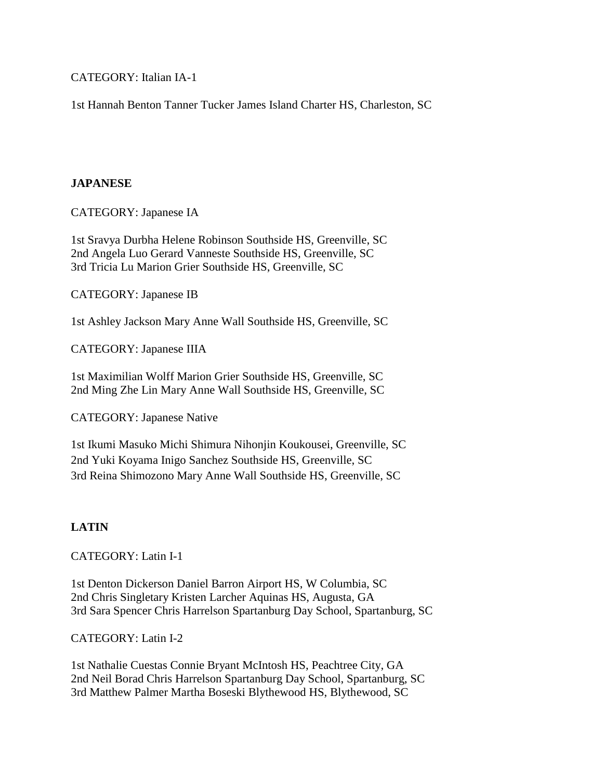CATEGORY: Italian IA-1

1st Hannah Benton Tanner Tucker James Island Charter HS, Charleston, SC

#### **JAPANESE**

CATEGORY: Japanese IA

1st Sravya Durbha Helene Robinson Southside HS, Greenville, SC 2nd Angela Luo Gerard Vanneste Southside HS, Greenville, SC 3rd Tricia Lu Marion Grier Southside HS, Greenville, SC

CATEGORY: Japanese IB

1st Ashley Jackson Mary Anne Wall Southside HS, Greenville, SC

CATEGORY: Japanese IIIA

1st Maximilian Wolff Marion Grier Southside HS, Greenville, SC 2nd Ming Zhe Lin Mary Anne Wall Southside HS, Greenville, SC

CATEGORY: Japanese Native

1st Ikumi Masuko Michi Shimura Nihonjin Koukousei, Greenville, SC 2nd Yuki Koyama Inigo Sanchez Southside HS, Greenville, SC 3rd Reina Shimozono Mary Anne Wall Southside HS, Greenville, SC

### **LATIN**

CATEGORY: Latin I-1

1st Denton Dickerson Daniel Barron Airport HS, W Columbia, SC 2nd Chris Singletary Kristen Larcher Aquinas HS, Augusta, GA 3rd Sara Spencer Chris Harrelson Spartanburg Day School, Spartanburg, SC

### CATEGORY: Latin I-2

1st Nathalie Cuestas Connie Bryant McIntosh HS, Peachtree City, GA 2nd Neil Borad Chris Harrelson Spartanburg Day School, Spartanburg, SC 3rd Matthew Palmer Martha Boseski Blythewood HS, Blythewood, SC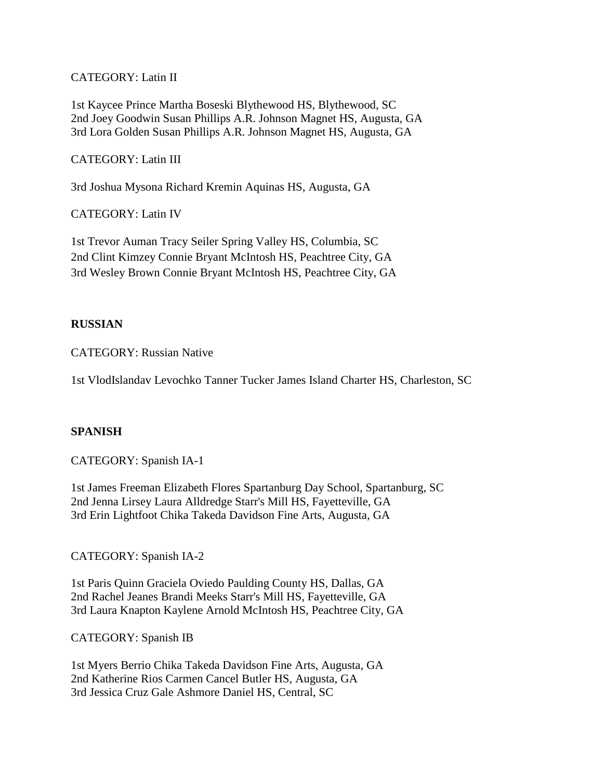CATEGORY: Latin II

1st Kaycee Prince Martha Boseski Blythewood HS, Blythewood, SC 2nd Joey Goodwin Susan Phillips A.R. Johnson Magnet HS, Augusta, GA 3rd Lora Golden Susan Phillips A.R. Johnson Magnet HS, Augusta, GA

CATEGORY: Latin III

3rd Joshua Mysona Richard Kremin Aquinas HS, Augusta, GA

CATEGORY: Latin IV

1st Trevor Auman Tracy Seiler Spring Valley HS, Columbia, SC 2nd Clint Kimzey Connie Bryant McIntosh HS, Peachtree City, GA 3rd Wesley Brown Connie Bryant McIntosh HS, Peachtree City, GA

#### **RUSSIAN**

CATEGORY: Russian Native

1st VlodIslandav Levochko Tanner Tucker James Island Charter HS, Charleston, SC

#### **SPANISH**

CATEGORY: Spanish IA-1

1st James Freeman Elizabeth Flores Spartanburg Day School, Spartanburg, SC 2nd Jenna Lirsey Laura Alldredge Starr's Mill HS, Fayetteville, GA 3rd Erin Lightfoot Chika Takeda Davidson Fine Arts, Augusta, GA

CATEGORY: Spanish IA-2

1st Paris Quinn Graciela Oviedo Paulding County HS, Dallas, GA 2nd Rachel Jeanes Brandi Meeks Starr's Mill HS, Fayetteville, GA 3rd Laura Knapton Kaylene Arnold McIntosh HS, Peachtree City, GA

CATEGORY: Spanish IB

1st Myers Berrio Chika Takeda Davidson Fine Arts, Augusta, GA 2nd Katherine Rios Carmen Cancel Butler HS, Augusta, GA 3rd Jessica Cruz Gale Ashmore Daniel HS, Central, SC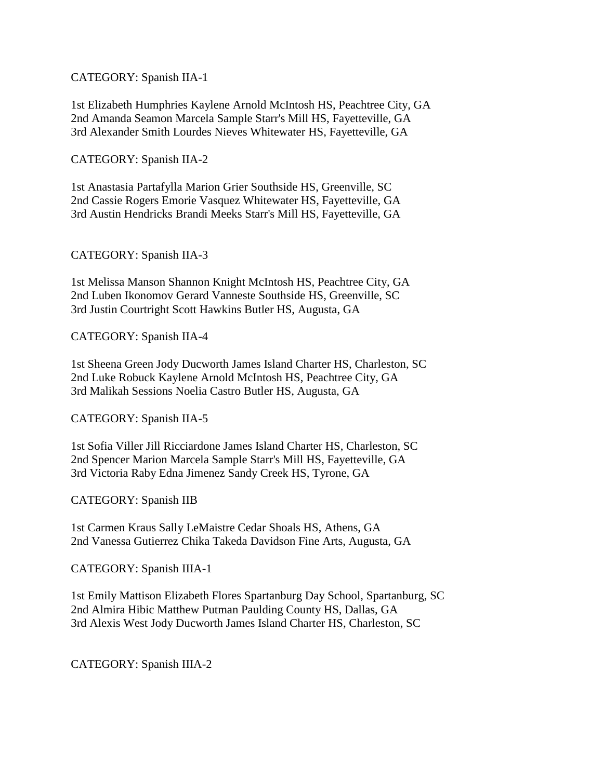CATEGORY: Spanish IIA-1

1st Elizabeth Humphries Kaylene Arnold McIntosh HS, Peachtree City, GA 2nd Amanda Seamon Marcela Sample Starr's Mill HS, Fayetteville, GA 3rd Alexander Smith Lourdes Nieves Whitewater HS, Fayetteville, GA

CATEGORY: Spanish IIA-2

1st Anastasia Partafylla Marion Grier Southside HS, Greenville, SC 2nd Cassie Rogers Emorie Vasquez Whitewater HS, Fayetteville, GA 3rd Austin Hendricks Brandi Meeks Starr's Mill HS, Fayetteville, GA

CATEGORY: Spanish IIA-3

1st Melissa Manson Shannon Knight McIntosh HS, Peachtree City, GA 2nd Luben Ikonomov Gerard Vanneste Southside HS, Greenville, SC 3rd Justin Courtright Scott Hawkins Butler HS, Augusta, GA

CATEGORY: Spanish IIA-4

1st Sheena Green Jody Ducworth James Island Charter HS, Charleston, SC 2nd Luke Robuck Kaylene Arnold McIntosh HS, Peachtree City, GA 3rd Malikah Sessions Noelia Castro Butler HS, Augusta, GA

CATEGORY: Spanish IIA-5

1st Sofia Viller Jill Ricciardone James Island Charter HS, Charleston, SC 2nd Spencer Marion Marcela Sample Starr's Mill HS, Fayetteville, GA 3rd Victoria Raby Edna Jimenez Sandy Creek HS, Tyrone, GA

CATEGORY: Spanish IIB

1st Carmen Kraus Sally LeMaistre Cedar Shoals HS, Athens, GA 2nd Vanessa Gutierrez Chika Takeda Davidson Fine Arts, Augusta, GA

CATEGORY: Spanish IIIA-1

1st Emily Mattison Elizabeth Flores Spartanburg Day School, Spartanburg, SC 2nd Almira Hibic Matthew Putman Paulding County HS, Dallas, GA 3rd Alexis West Jody Ducworth James Island Charter HS, Charleston, SC

CATEGORY: Spanish IIIA-2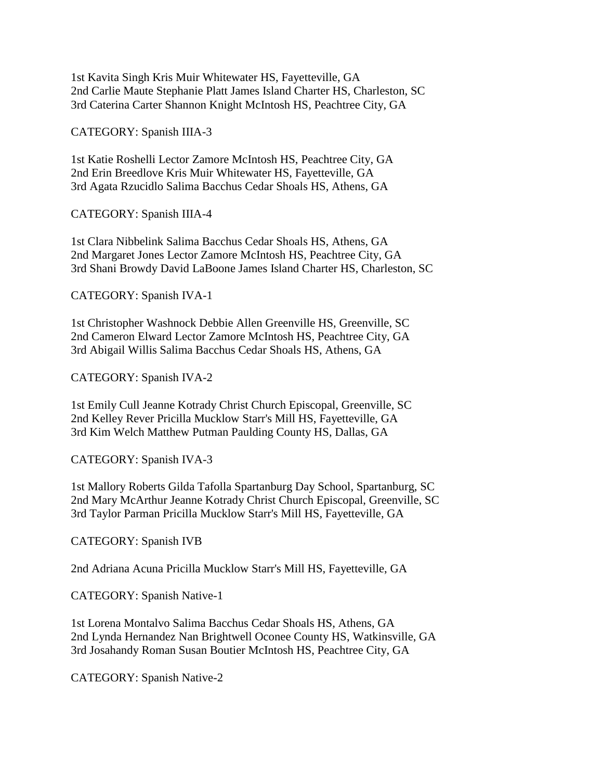1st Kavita Singh Kris Muir Whitewater HS, Fayetteville, GA 2nd Carlie Maute Stephanie Platt James Island Charter HS, Charleston, SC 3rd Caterina Carter Shannon Knight McIntosh HS, Peachtree City, GA

CATEGORY: Spanish IIIA-3

1st Katie Roshelli Lector Zamore McIntosh HS, Peachtree City, GA 2nd Erin Breedlove Kris Muir Whitewater HS, Fayetteville, GA 3rd Agata Rzucidlo Salima Bacchus Cedar Shoals HS, Athens, GA

CATEGORY: Spanish IIIA-4

1st Clara Nibbelink Salima Bacchus Cedar Shoals HS, Athens, GA 2nd Margaret Jones Lector Zamore McIntosh HS, Peachtree City, GA 3rd Shani Browdy David LaBoone James Island Charter HS, Charleston, SC

CATEGORY: Spanish IVA-1

1st Christopher Washnock Debbie Allen Greenville HS, Greenville, SC 2nd Cameron Elward Lector Zamore McIntosh HS, Peachtree City, GA 3rd Abigail Willis Salima Bacchus Cedar Shoals HS, Athens, GA

CATEGORY: Spanish IVA-2

1st Emily Cull Jeanne Kotrady Christ Church Episcopal, Greenville, SC 2nd Kelley Rever Pricilla Mucklow Starr's Mill HS, Fayetteville, GA 3rd Kim Welch Matthew Putman Paulding County HS, Dallas, GA

CATEGORY: Spanish IVA-3

1st Mallory Roberts Gilda Tafolla Spartanburg Day School, Spartanburg, SC 2nd Mary McArthur Jeanne Kotrady Christ Church Episcopal, Greenville, SC 3rd Taylor Parman Pricilla Mucklow Starr's Mill HS, Fayetteville, GA

CATEGORY: Spanish IVB

2nd Adriana Acuna Pricilla Mucklow Starr's Mill HS, Fayetteville, GA

CATEGORY: Spanish Native-1

1st Lorena Montalvo Salima Bacchus Cedar Shoals HS, Athens, GA 2nd Lynda Hernandez Nan Brightwell Oconee County HS, Watkinsville, GA 3rd Josahandy Roman Susan Boutier McIntosh HS, Peachtree City, GA

CATEGORY: Spanish Native-2